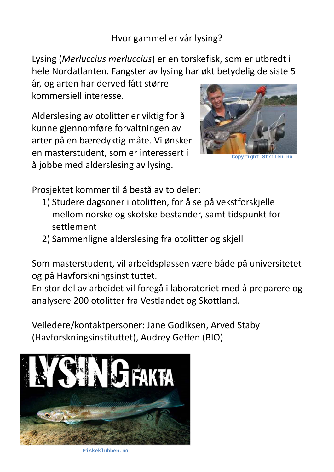Hvor gammel er vår lysing?

Lysing (*Merluccius merluccius*) er en torskefisk, som er utbredt i hele Nordatlanten. Fangster av lysing har økt betydelig de siste 5

år, og arten har derved fått større kommersiell interesse.

Alderslesing av otolitter er viktig for å kunne gjennomføre forvaltningen av arter på en bæredyktig måte. Vi ønsker en masterstudent, som er interessert i å jobbe med alderslesing av lysing.



**Copyright Strilen.no**

Prosjektet kommer til å bestå av to deler:

- 1) Studere dagsoner i otolitten, for å se på vekstforskjelle mellom norske og skotske bestander, samt tidspunkt for settlement
- 2) Sammenligne alderslesing fra otolitter og skjell

Som masterstudent, vil arbeidsplassen være både på universitetet og på Havforskningsinstituttet.

En stor del av arbeidet vil foregå i laboratoriet med å preparere og analysere 200 otolitter fra Vestlandet og Skottland.

Veiledere/kontaktpersoner: Jane Godiksen, Arved Staby (Havforskningsinstituttet), Audrey Geffen (BIO)



**Fiskeklubben.no**